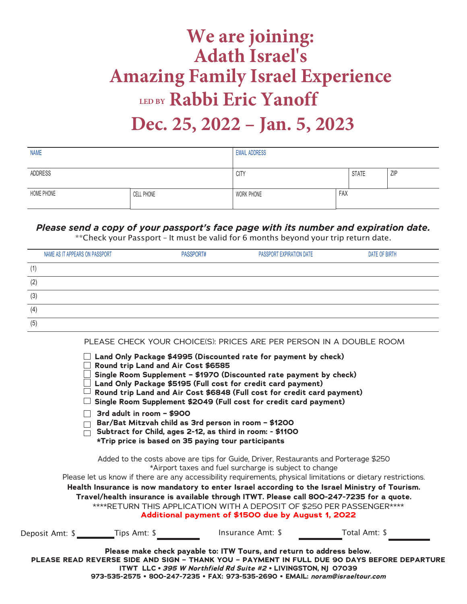## **We are joining: Adath Israel's Amazing Family Israel Experience LED BY Rabbi Eric Yanoff Dec. 25, 2022 – Jan. 5, 2023**

| <b>NAME</b> |            | <b>EMAIL ADDRESS</b> |     |              |     |
|-------------|------------|----------------------|-----|--------------|-----|
|             |            |                      |     |              |     |
| ADDRESS     |            | <b>CITY</b>          |     | <b>STATE</b> | ZIP |
|             |            |                      |     |              |     |
| HOME PHONE  | CELL PHONE | WORK PHONE           | FAX |              |     |
|             |            |                      |     |              |     |

## *Please send a copy of your passport's face page with its number and expiration date.*

\*\*Check your Passport – It must be valid for 6 months beyond your trip return date.

| NAME AS IT APPEARS ON PASSPORT | PASSPORT# | PASSPORT EXPIRATION DATE | DATE OF BIRTH |
|--------------------------------|-----------|--------------------------|---------------|
| (1)                            |           |                          |               |
| (2)                            |           |                          |               |
| (3)                            |           |                          |               |
| (4)                            |           |                          |               |
| (5)                            |           |                          |               |

PLEASE CHECK YOUR CHOICE(S): PRICES ARE PER PERSON IN A DOUBLE ROOM

|                 | Round trip Land and Air Cost \$6585 | $\Box$ Land Only Package \$4995 (Discounted rate for payment by check)<br>Single Room Supplement - \$1970 (Discounted rate payment by check)<br>Land Only Package \$5195 (Full cost for credit card payment)<br>Round trip Land and Air Cost \$6848 (Full cost for credit card payment)<br>Single Room Supplement \$2049 (Full cost for credit card payment)                                                                                                                                                                                                                                 |               |  |
|-----------------|-------------------------------------|----------------------------------------------------------------------------------------------------------------------------------------------------------------------------------------------------------------------------------------------------------------------------------------------------------------------------------------------------------------------------------------------------------------------------------------------------------------------------------------------------------------------------------------------------------------------------------------------|---------------|--|
|                 | 3rd adult in room - \$900           | Bar/Bat Mitzvah child as 3rd person in room - \$1200<br>Subtract for Child, ages 2-12, as third in room: - \$1100<br>*Trip price is based on 35 paying tour participants                                                                                                                                                                                                                                                                                                                                                                                                                     |               |  |
|                 |                                     | Added to the costs above are tips for Guide, Driver, Restaurants and Porterage \$250<br>*Airport taxes and fuel surcharge is subject to change<br>Please let us know if there are any accessibility requirements, physical limitations or dietary restrictions.<br>Health Insurance is now mandatory to enter Israel according to the Israel Ministry of Tourism.<br>Travel/health insurance is available through ITWT. Please call 800-247-7235 for a quote.<br>****RETURN THIS APPLICATION WITH A DEPOSIT OF \$250 PER PASSENGER****<br>Additional payment of \$1500 due by August 1, 2022 |               |  |
| Deposit Amt: \$ | Tips Amt: \$                        | Insurance Amt: \$                                                                                                                                                                                                                                                                                                                                                                                                                                                                                                                                                                            | Total Amt: \$ |  |
|                 |                                     | Please make check payable to: ITW Tours, and return to address below.<br>PLEASE READ REVERSE SIDE AND SIGN - THANK YOU - PAYMENT IN FULL DUE 90 DAYS BEFORE DEPARTURE<br>ITWT LLC · 395 W Northfield Rd Suite #2 · LIVINGSTON, NJ 07039                                                                                                                                                                                                                                                                                                                                                      |               |  |

**973-535-2575 • 800-247-7235 • FAX: 973-535-2690 • EMAIL: [noram@israeltour.co](mailto:info@israeltour.com)m**